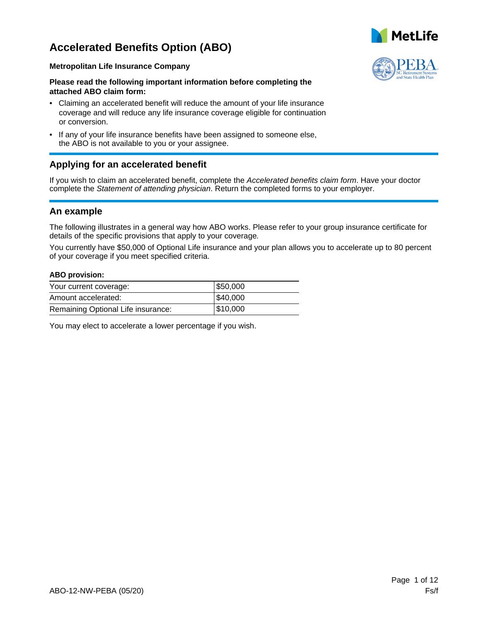## **Accelerated Benefits Option (ABO)**

#### **Metropolitan Life Insurance Company**

#### **Please read the following important information before completing the attached ABO claim form:**

- Claiming an accelerated benefit will reduce the amount of your life insurance coverage and will reduce any life insurance coverage eligible for continuation or conversion.
- If any of your life insurance benefits have been assigned to someone else, the ABO is not available to you or your assignee.

### **Applying for an accelerated benefit**

If you wish to claim an accelerated benefit, complete the *Accelerated benefits claim form*. Have your doctor complete the *Statement of attending physician*. Return the completed forms to your employer.

### **An example**

The following illustrates in a general way how ABO works. Please refer to your group insurance certificate for details of the specific provisions that apply to your coverage*.* 

You currently have \$50,000 of Optional Life insurance and your plan allows you to accelerate up to 80 percent of your coverage if you meet specified criteria.

#### **ABO provision:**

| Your current coverage:             | \$50,000 |
|------------------------------------|----------|
| Amount accelerated:                | \$40,000 |
| Remaining Optional Life insurance: | \$10,000 |

You may elect to accelerate a lower percentage if you wish.



**MetLife**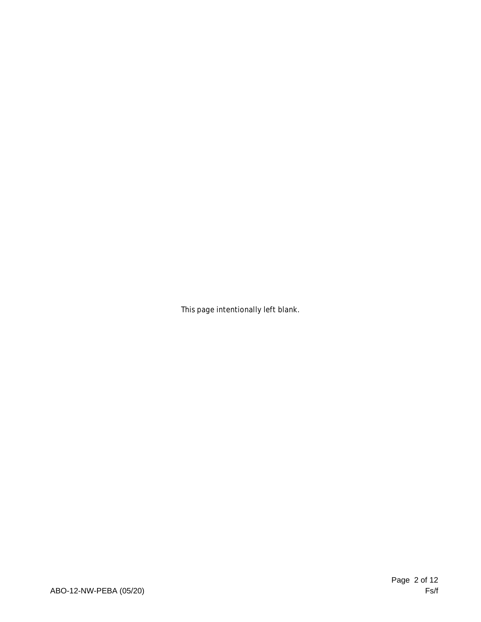This page intentionally left blank.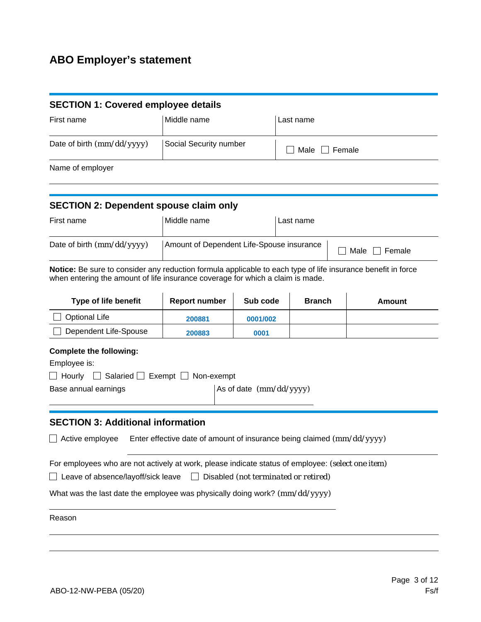## **ABO Employer's statement**

| <b>SECTION 1: Covered employee details</b> |                        |                  |  |  |  |
|--------------------------------------------|------------------------|------------------|--|--|--|
| First name                                 | Middle name            | Last name        |  |  |  |
| Date of birth $(mm/dd/yyyy)$               | Social Security number | Male I<br>Female |  |  |  |
| Name of employer                           |                        |                  |  |  |  |

| <b>SECTION 2: Dependent spouse claim only</b> |                                           |           |                |  |  |
|-----------------------------------------------|-------------------------------------------|-----------|----------------|--|--|
| First name                                    | Middle name                               | Last name |                |  |  |
| Date of birth $(mm/dd/yyyy)$                  | Amount of Dependent Life-Spouse insurance |           | Male<br>Female |  |  |

**Notice:** Be sure to consider any reduction formula applicable to each type of life insurance benefit in force when entering the amount of life insurance coverage for which a claim is made.

| Type of life benefit  | <b>Report number</b> | Sub code | <b>Branch</b> | Amount |
|-----------------------|----------------------|----------|---------------|--------|
| <b>Optional Life</b>  | 200881               | 0001/002 |               |        |
| Dependent Life-Spouse | 200883               | 0001     |               |        |

#### **Complete the following:**

Employee is:

| □ Hourly □ Salaried □ Exempt □ Non-exempt |  |
|-------------------------------------------|--|
|-------------------------------------------|--|

Base annual earnings  $|$ As of date  $(mm/dd/yyy)$ 

### **SECTION 3: Additional information**

Active employee Enter effective date of amount of insurance being claimed *(mm/dd/yyyy)*

| For employees who are not actively at work, please indicate status of employee: (select one item) |  |  |
|---------------------------------------------------------------------------------------------------|--|--|
|---------------------------------------------------------------------------------------------------|--|--|

Leave of absence/layoff/sick leave Disabled *(not terminated or retired)*

What was the last date the employee was physically doing work? *(mm/dd/yyyy)*

Reason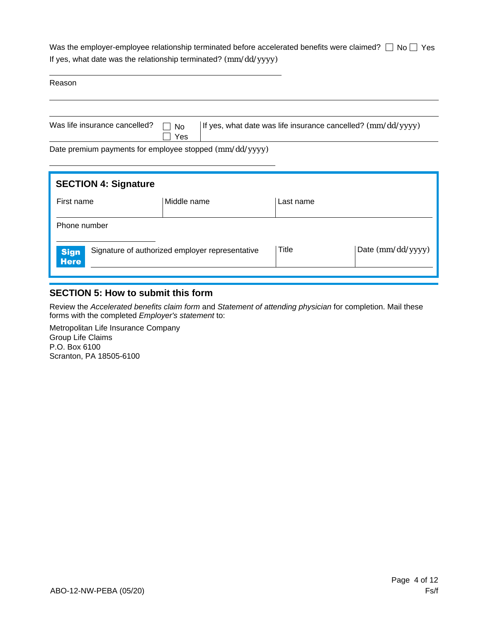Was the employer-employee relationship terminated before accelerated benefits were claimed?  $\Box$  No  $\Box$  Yes If yes, what date was the relationship terminated? *(mm/dd/yyyy)*

| Reason                                                  |                                                 |                                                                |                     |
|---------------------------------------------------------|-------------------------------------------------|----------------------------------------------------------------|---------------------|
| Was life insurance cancelled?                           | No<br>Yes                                       | If yes, what date was life insurance cancelled? $(mm/dd/yyyy)$ |                     |
| Date premium payments for employee stopped (mm/dd/yyyy) |                                                 |                                                                |                     |
| <b>SECTION 4: Signature</b>                             |                                                 |                                                                |                     |
| First name                                              | Middle name                                     | Last name                                                      |                     |
| Phone number                                            |                                                 |                                                                |                     |
| <b>Sign</b><br><b>Here</b>                              | Signature of authorized employer representative | Title                                                          | Date $(mm/dd/yyyy)$ |

### **SECTION 5: How to submit this form**

Review the *Accelerated benefits claim form* and *Statement of attending physician* for completion. Mail these forms with the completed *Employer's statement* to:

Metropolitan Life Insurance Company Group Life Claims P.O. Box 6100 Scranton, PA 18505-6100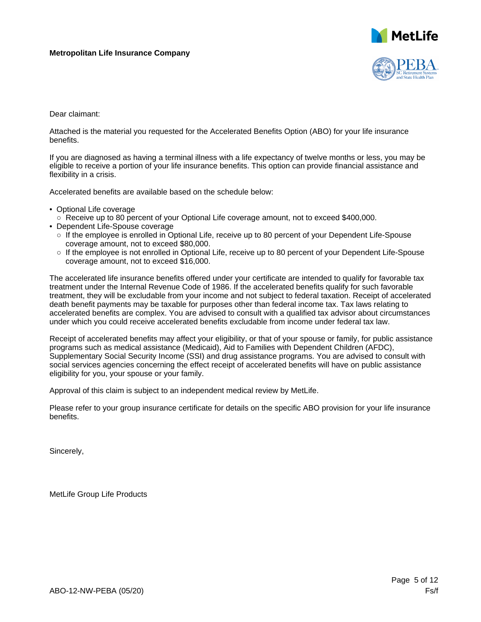#### **Metropolitan Life Insurance Company**



Dear claimant:

Attached is the material you requested for the Accelerated Benefits Option (ABO) for your life insurance benefits.

If you are diagnosed as having a terminal illness with a life expectancy of twelve months or less, you may be eligible to receive a portion of your life insurance benefits. This option can provide financial assistance and flexibility in a crisis.

Accelerated benefits are available based on the schedule below:

- Optional Life coverage
- Receive up to 80 percent of your Optional Life coverage amount, not to exceed \$400,000.
- Dependent Life-Spouse coverage
	- If the employee is enrolled in Optional Life, receive up to 80 percent of your Dependent Life-Spouse coverage amount, not to exceed \$80,000.
	- If the employee is not enrolled in Optional Life, receive up to 80 percent of your Dependent Life-Spouse coverage amount, not to exceed \$16,000.

The accelerated life insurance benefits offered under your certificate are intended to qualify for favorable tax treatment under the Internal Revenue Code of 1986. If the accelerated benefits qualify for such favorable treatment, they will be excludable from your income and not subject to federal taxation. Receipt of accelerated death benefit payments may be taxable for purposes other than federal income tax. Tax laws relating to accelerated benefits are complex. You are advised to consult with a qualified tax advisor about circumstances under which you could receive accelerated benefits excludable from income under federal tax law.

Receipt of accelerated benefits may affect your eligibility, or that of your spouse or family, for public assistance programs such as medical assistance (Medicaid), Aid to Families with Dependent Children (AFDC), Supplementary Social Security Income (SSI) and drug assistance programs. You are advised to consult with social services agencies concerning the effect receipt of accelerated benefits will have on public assistance eligibility for you, your spouse or your family.

Approval of this claim is subject to an independent medical review by MetLife.

Please refer to your group insurance certificate for details on the specific ABO provision for your life insurance benefits.

Sincerely,

MetLife Group Life Products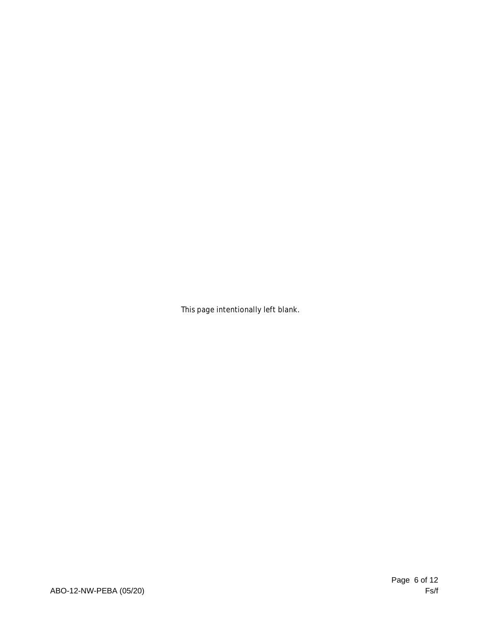This page intentionally left blank.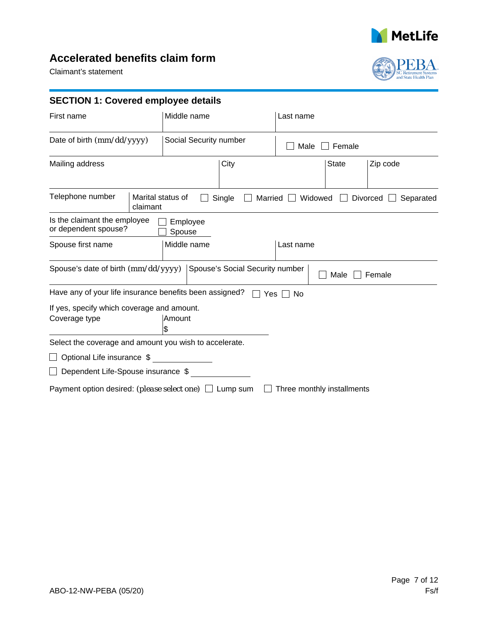

# **Accelerated benefits claim form**

Claimant's statement



## **SECTION 1: Covered employee details**

| First name                                                  | Middle name                                                                               |                                 | Last name                 |                          |  |
|-------------------------------------------------------------|-------------------------------------------------------------------------------------------|---------------------------------|---------------------------|--------------------------|--|
| Date of birth (mm/dd/yyyy)                                  | Social Security number                                                                    |                                 | Male                      | Female                   |  |
| Mailing address                                             |                                                                                           | City                            |                           | <b>State</b><br>Zip code |  |
| Telephone number<br>Marital status of<br>claimant           |                                                                                           | Single                          | Widowed<br>Married $\Box$ | Divorced<br>Separated    |  |
| Is the claimant the employee<br>or dependent spouse?        | Employee<br>Spouse                                                                        |                                 |                           |                          |  |
| Spouse first name                                           | Middle name                                                                               |                                 | Last name                 |                          |  |
| Spouse's date of birth (mm/dd/yyyy)                         |                                                                                           | Spouse's Social Security number |                           | Female<br>Male           |  |
| Have any of your life insurance benefits been assigned?     |                                                                                           | Yes                             | No.                       |                          |  |
| If yes, specify which coverage and amount.<br>Coverage type | Amount<br>\$                                                                              |                                 |                           |                          |  |
| Select the coverage and amount you wish to accelerate.      |                                                                                           |                                 |                           |                          |  |
| Optional Life insurance \$                                  |                                                                                           |                                 |                           |                          |  |
| Dependent Life-Spouse insurance \$                          |                                                                                           |                                 |                           |                          |  |
|                                                             | Payment option desired: (please select one) $\Box$ Lump sum<br>Three monthly installments |                                 |                           |                          |  |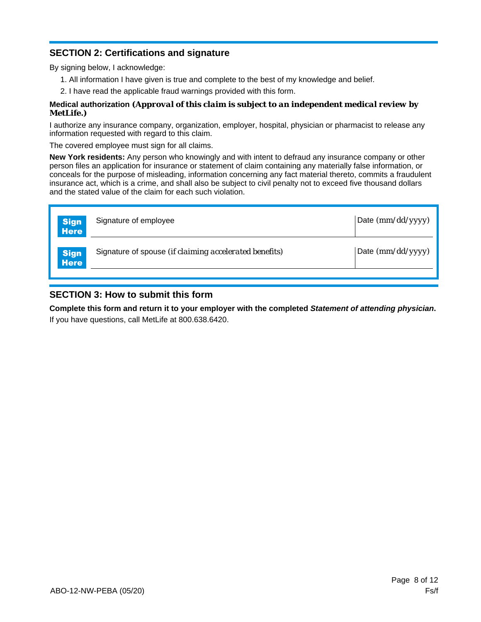## **SECTION 2: Certifications and signature**

By signing below, I acknowledge:

- 1. All information I have given is true and complete to the best of my knowledge and belief.
- 2. I have read the applicable fraud warnings provided with this form.

#### **Medical authorization** *(Approval of this claim is subject to an independent medical review by MetLife.)*

I authorize any insurance company, organization, employer, hospital, physician or pharmacist to release any information requested with regard to this claim.

The covered employee must sign for all claims.

**New York residents:** Any person who knowingly and with intent to defraud any insurance company or other person files an application for insurance or statement of claim containing any materially false information, or conceals for the purpose of misleading, information concerning any fact material thereto, commits a fraudulent insurance act, which is a crime, and shall also be subject to civil penalty not to exceed five thousand dollars and the stated value of the claim for each such violation.

| <b>Sign</b><br><b>Here</b> | Signature of employee                                  | Date (mm/dd/yyyy) |
|----------------------------|--------------------------------------------------------|-------------------|
| <b>Sign</b><br><b>Here</b> | Signature of spouse (if claiming accelerated benefits) | Date (mm/dd/yyyy) |

### **SECTION 3: How to submit this form**

**Complete this form and return it to your employer with the completed** *Statement of attending physician***.** If you have questions, call MetLife at 800.638.6420.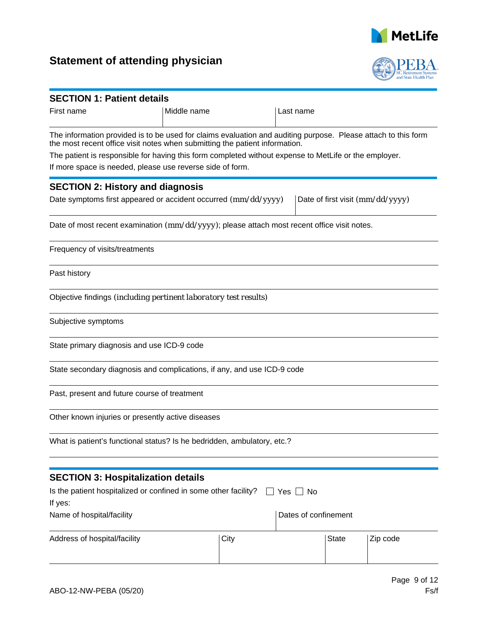





| <b>SECTION 1: Patient details</b>                                                                                                                                                            |                          |      |                                    |          |
|----------------------------------------------------------------------------------------------------------------------------------------------------------------------------------------------|--------------------------|------|------------------------------------|----------|
| First name                                                                                                                                                                                   | Middle name<br>Last name |      |                                    |          |
| The information provided is to be used for claims evaluation and auditing purpose. Please attach to this form<br>the most recent office visit notes when submitting the patient information. |                          |      |                                    |          |
| The patient is responsible for having this form completed without expense to MetLife or the employer.                                                                                        |                          |      |                                    |          |
| If more space is needed, please use reverse side of form.                                                                                                                                    |                          |      |                                    |          |
| <b>SECTION 2: History and diagnosis</b>                                                                                                                                                      |                          |      |                                    |          |
| Date symptoms first appeared or accident occurred $(mm/dd/yyyy)$                                                                                                                             |                          |      | Date of first visit $(mm/dd/yyyy)$ |          |
| Date of most recent examination $(mm/dd/yyyy)$ ; please attach most recent office visit notes.                                                                                               |                          |      |                                    |          |
| Frequency of visits/treatments                                                                                                                                                               |                          |      |                                    |          |
| Past history                                                                                                                                                                                 |                          |      |                                    |          |
| Objective findings (including pertinent laboratory test results)                                                                                                                             |                          |      |                                    |          |
| Subjective symptoms                                                                                                                                                                          |                          |      |                                    |          |
| State primary diagnosis and use ICD-9 code                                                                                                                                                   |                          |      |                                    |          |
| State secondary diagnosis and complications, if any, and use ICD-9 code                                                                                                                      |                          |      |                                    |          |
| Past, present and future course of treatment                                                                                                                                                 |                          |      |                                    |          |
| Other known injuries or presently active diseases                                                                                                                                            |                          |      |                                    |          |
| What is patient's functional status? Is he bedridden, ambulatory, etc.?                                                                                                                      |                          |      |                                    |          |
|                                                                                                                                                                                              |                          |      |                                    |          |
| <b>SECTION 3: Hospitalization details</b><br>Is the patient hospitalized or confined in some other facility?                                                                                 |                          |      |                                    |          |
| If yes:                                                                                                                                                                                      |                          |      | $\Box$ Yes $\Box$ No               |          |
| Name of hospital/facility                                                                                                                                                                    |                          |      | Dates of confinement               |          |
| Address of hospital/facility                                                                                                                                                                 |                          | City | <b>State</b>                       | Zip code |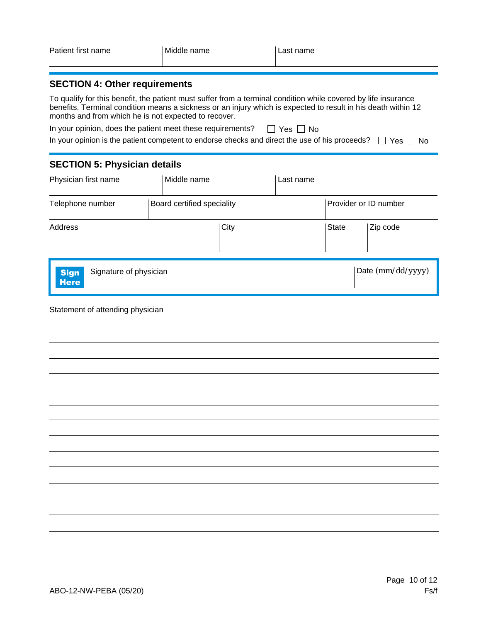| Patient first name                                                                                                                                                                                                                                                                      | Middle name                          |      | Last name    |                       |  |  |
|-----------------------------------------------------------------------------------------------------------------------------------------------------------------------------------------------------------------------------------------------------------------------------------------|--------------------------------------|------|--------------|-----------------------|--|--|
|                                                                                                                                                                                                                                                                                         | <b>SECTION 4: Other requirements</b> |      |              |                       |  |  |
| To qualify for this benefit, the patient must suffer from a terminal condition while covered by life insurance<br>benefits. Terminal condition means a sickness or an injury which is expected to result in his death within 12<br>months and from which he is not expected to recover. |                                      |      |              |                       |  |  |
| In your opinion, does the patient meet these requirements?<br>$\Box$ Yes $\Box$ No<br>In your opinion is the patient competent to endorse checks and direct the use of his proceeds? $\Box$ Yes $\Box$ No                                                                               |                                      |      |              |                       |  |  |
| <b>SECTION 5: Physician details</b>                                                                                                                                                                                                                                                     |                                      |      |              |                       |  |  |
| Physician first name                                                                                                                                                                                                                                                                    | Middle name                          |      | Last name    |                       |  |  |
| Telephone number                                                                                                                                                                                                                                                                        | Board certified speciality           |      |              | Provider or ID number |  |  |
| Address                                                                                                                                                                                                                                                                                 |                                      | City | <b>State</b> | Zip code              |  |  |
| Signature of physician<br><b>Sign</b><br><b>Here</b>                                                                                                                                                                                                                                    |                                      |      |              | Date (mm/dd/yyyy)     |  |  |
| Statement of attending physician                                                                                                                                                                                                                                                        |                                      |      |              |                       |  |  |
|                                                                                                                                                                                                                                                                                         |                                      |      |              |                       |  |  |
|                                                                                                                                                                                                                                                                                         |                                      |      |              |                       |  |  |
|                                                                                                                                                                                                                                                                                         |                                      |      |              |                       |  |  |
|                                                                                                                                                                                                                                                                                         |                                      |      |              |                       |  |  |
|                                                                                                                                                                                                                                                                                         |                                      |      |              |                       |  |  |
|                                                                                                                                                                                                                                                                                         |                                      |      |              |                       |  |  |
|                                                                                                                                                                                                                                                                                         |                                      |      |              |                       |  |  |
|                                                                                                                                                                                                                                                                                         |                                      |      |              |                       |  |  |
|                                                                                                                                                                                                                                                                                         |                                      |      |              |                       |  |  |
|                                                                                                                                                                                                                                                                                         |                                      |      |              |                       |  |  |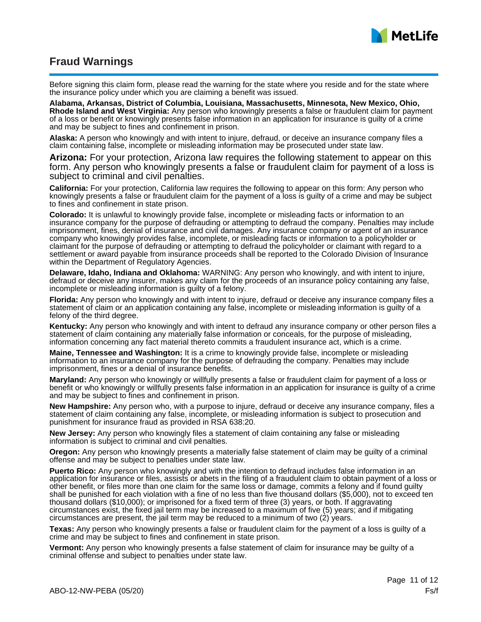

## **Fraud Warnings**

Before signing this claim form, please read the warning for the state where you reside and for the state where the insurance policy under which you are claiming a benefit was issued.

**Alabama, Arkansas, District of Columbia, Louisiana, Massachusetts, Minnesota, New Mexico, Ohio, Rhode Island and West Virginia:** Any person who knowingly presents a false or fraudulent claim for payment of a loss or benefit or knowingly presents false information in an application for insurance is guilty of a crime and may be subject to fines and confinement in prison.

**Alaska:** A person who knowingly and with intent to injure, defraud, or deceive an insurance company files a claim containing false, incomplete or misleading information may be prosecuted under state law.

**Arizona:** For your protection, Arizona law requires the following statement to appear on this form. Any person who knowingly presents a false or fraudulent claim for payment of a loss is subject to criminal and civil penalties.

**California:** For your protection, California law requires the following to appear on this form: Any person who knowingly presents a false or fraudulent claim for the payment of a loss is guilty of a crime and may be subject to fines and confinement in state prison.

**Colorado:** It is unlawful to knowingly provide false, incomplete or misleading facts or information to an insurance company for the purpose of defrauding or attempting to defraud the company. Penalties may include imprisonment, fines, denial of insurance and civil damages. Any insurance company or agent of an insurance company who knowingly provides false, incomplete, or misleading facts or information to a policyholder or claimant for the purpose of defrauding or attempting to defraud the policyholder or claimant with regard to a settlement or award payable from insurance proceeds shall be reported to the Colorado Division of Insurance within the Department of Regulatory Agencies.

**Delaware, Idaho, Indiana and Oklahoma:** WARNING: Any person who knowingly, and with intent to injure, defraud or deceive any insurer, makes any claim for the proceeds of an insurance policy containing any false, incomplete or misleading information is guilty of a felony.

**Florida:** Any person who knowingly and with intent to injure, defraud or deceive any insurance company files a statement of claim or an application containing any false, incomplete or misleading information is guilty of a felony of the third degree.

**Kentucky:** Any person who knowingly and with intent to defraud any insurance company or other person files a statement of claim containing any materially false information or conceals, for the purpose of misleading, information concerning any fact material thereto commits a fraudulent insurance act, which is a crime.

**Maine, Tennessee and Washington:** It is a crime to knowingly provide false, incomplete or misleading information to an insurance company for the purpose of defrauding the company. Penalties may include imprisonment, fines or a denial of insurance benefits.

**Maryland:** Any person who knowingly or willfully presents a false or fraudulent claim for payment of a loss or benefit or who knowingly or willfully presents false information in an application for insurance is guilty of a crime and may be subject to fines and confinement in prison.

**New Hampshire:** Any person who, with a purpose to injure, defraud or deceive any insurance company, files a statement of claim containing any false, incomplete, or misleading information is subject to prosecution and punishment for insurance fraud as provided in RSA 638:20.

**New Jersey:** Any person who knowingly files a statement of claim containing any false or misleading information is subject to criminal and civil penalties.

**Oregon:** Any person who knowingly presents a materially false statement of claim may be guilty of a criminal offense and may be subject to penalties under state law.

**Puerto Rico:** Any person who knowingly and with the intention to defraud includes false information in an application for insurance or files, assists or abets in the filing of a fraudulent claim to obtain payment of a loss or other benefit, or files more than one claim for the same loss or damage, commits a felony and if found guilty shall be punished for each violation with a fine of no less than five thousand dollars (\$5,000), not to exceed ten thousand dollars (\$10,000); or imprisoned for a fixed term of three (3) years, or both. If aggravating circumstances exist, the fixed jail term may be increased to a maximum of five (5) years; and if mitigating circumstances are present, the jail term may be reduced to a minimum of two  $(2)$  years.

**Texas:** Any person who knowingly presents a false or fraudulent claim for the payment of a loss is guilty of a crime and may be subject to fines and confinement in state prison.

**Vermont:** Any person who knowingly presents a false statement of claim for insurance may be guilty of a criminal offense and subject to penalties under state law.